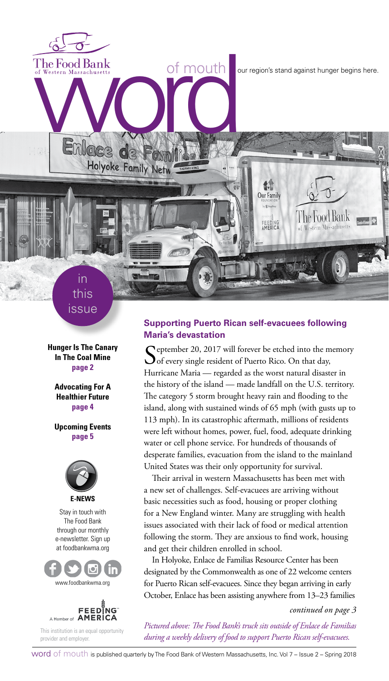The Food Bank<br>of Western Massachusetts<br>
With the Condition of Mouth<br>
Condition of Mouth<br>
Condition of Mouth<br>
Condition of Mouth<br>
Condition of Mouth<br>
Condition of Mouth<br>
Condition of Mouth<br>
Condition of Mouth<br>
Condition of

The Food Bank

Western Massachusetts

in this issue

Holyoke Family Netw

**Hunger Is The Canary In The Coal Mine page 2**

**Advocating For A Healthier Future page 4**

**Upcoming Events page 5**



Stay in touch with The Food Bank through our monthly e-newsletter. Sign up at foodbankwma.org





This institution is an equal opportunity provider and employer.

### **Supporting Puerto Rican self-evacuees following Maria's devastation**

1. **Our Family** 

FEEDING<br>AMERICA

Ceptember 20, 2017 will forever be etched into the memory  $\bigcup$  of every single resident of Puerto Rico. On that day, Hurricane Maria — regarded as the worst natural disaster in the history of the island — made landfall on the U.S. territory. The category 5 storm brought heavy rain and flooding to the island, along with sustained winds of 65 mph (with gusts up to 113 mph). In its catastrophic aftermath, millions of residents were left without homes, power, fuel, food, adequate drinking water or cell phone service. For hundreds of thousands of desperate families, evacuation from the island to the mainland United States was their only opportunity for survival.

Their arrival in western Massachusetts has been met with a new set of challenges. Self-evacuees are arriving without basic necessities such as food, housing or proper clothing for a New England winter. Many are struggling with health issues associated with their lack of food or medical attention following the storm. They are anxious to find work, housing and get their children enrolled in school.

In Holyoke, Enlace de Familias Resource Center has been designated by the Commonwealth as one of 22 welcome centers for Puerto Rican self-evacuees. Since they began arriving in early October, Enlace has been assisting anywhere from 13–23 families

*continued on page 3*

*Pictured above: The Food Bank's truck sits outside of Enlace de Familias during a weekly delivery of food to support Puerto Rican self-evacuees.*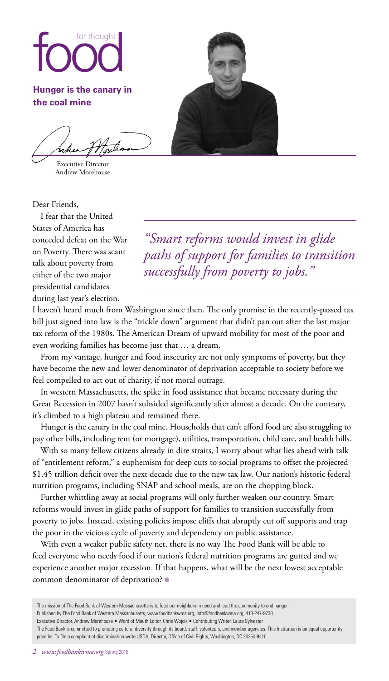# foot thought

**Hunger is the canary in the coal mine**

Executive Director Andrew Morehouse

Dear Friends,

I fear that the United States of America has conceded defeat on the War on Poverty. There was scant talk about poverty from either of the two major presidential candidates during last year's election.

*"Smart reforms would invest in glide paths of support for families to transition successfully from poverty to jobs."*

I haven't heard much from Washington since then. The only promise in the recently-passed tax bill just signed into law is the "trickle down" argument that didn't pan out after the last major tax reform of the 1980s. The American Dream of upward mobility for most of the poor and even working families has become just that … a dream.

From my vantage, hunger and food insecurity are not only symptoms of poverty, but they have become the new and lower denominator of deprivation acceptable to society before we feel compelled to act out of charity, if not moral outrage.

In western Massachusetts, the spike in food assistance that became necessary during the Great Recession in 2007 hasn't subsided significantly after almost a decade. On the contrary, it's climbed to a high plateau and remained there.

Hunger is the canary in the coal mine. Households that can't afford food are also struggling to pay other bills, including rent (or mortgage), utilities, transportation, child care, and health bills.

With so many fellow citizens already in dire straits, I worry about what lies ahead with talk of "entitlement reform," a euphemism for deep cuts to social programs to offset the projected \$1.45 trillion deficit over the next decade due to the new tax law. Our nation's historic federal nutrition programs, including SNAP and school meals, are on the chopping block.

Further whittling away at social programs will only further weaken our country. Smart reforms would invest in glide paths of support for families to transition successfully from poverty to jobs. Instead, existing policies impose cliffs that abruptly cut off supports and trap the poor in the vicious cycle of poverty and dependency on public assistance.

With even a weaker public safety net, there is no way The Food Bank will be able to feed everyone who needs food if our nation's federal nutrition programs are gutted and we experience another major recession. If that happens, what will be the next lowest acceptable common denominator of deprivation? ●

The mission of The Food Bank of Western Massachusetts is to feed our neighbors in need and lead the community to end hunger. Published by The Food Bank of Western Massachusetts, www.foodbankwma.org, info@foodbankwma.org, 413-247-9738 Executive Director, Andrew Morehouse • Word of Mouth Editor, Chris Wojcik • Contributing Writer, Laura Sylvester The Food Bank is committed to promoting cultural diversity through its board, staff, volunteers, and member agencies. This Institution is an equal opportunity provider. To file a complaint of discrimination write USDA, Director, Office of Civil Rights, Washington, DC 20250-9410.

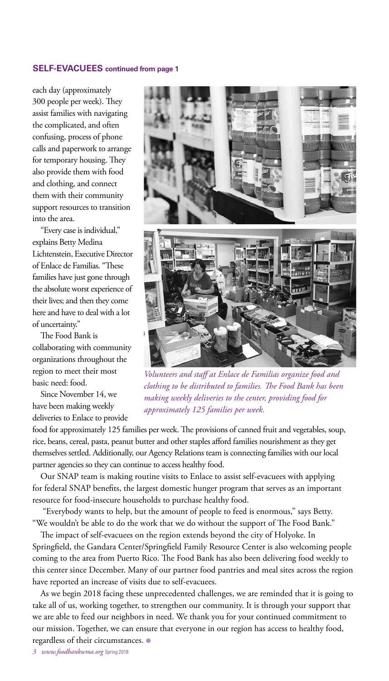### **SELF-EVACUEES continued from page 1**

each day (approximately 300 people per week). They assist families with navigating the complicated, and often confusing, process of phone calls and paperwork to arrange for temporary housing. They also provide them with food and clothing, and connect them with their community support resources to transition into the area.

"Every case is individual," explains Betty Medina Lichtenstein, Executive Director of Enlace de Familias. "These families have just gone through the absolute worst experience of their lives; and then they come here and have to deal with a lot of uncertainty."

The Food Bank is collaborating with community organizations throughout the region to meet their most basic need: food.

Since November 14, we have been making weekly deliveries to Enlace to provide



*Volunteers and staff at Enlace de Familias organize food and clothing to be distributed to families. The Food Bank has been making weekly deliveries to the center, providing food for approximately 125 families per week.* 

food for approximately 125 families per week. The provisions of canned fruit and vegetables, soup, rice, beans, cereal, pasta, peanut butter and other staples afford families nourishment as they get themselves settled. Additionally, our Agency Relations team is connecting families with our local partner agencies so they can continue to access healthy food.

Our SNAP team is making routine visits to Enlace to assist self-evacuees with applying for federal SNAP benefits, the largest domestic hunger program that serves as an important resource for food-insecure households to purchase healthy food.

 "Everybody wants to help, but the amount of people to feed is enormous," says Betty. "We wouldn't be able to do the work that we do without the support of The Food Bank."

The impact of self-evacuees on the region extends beyond the city of Holyoke. In Springfield, the Gandara Center/Springfield Family Resource Center is also welcoming people coming to the area from Puerto Rico. The Food Bank has also been delivering food weekly to this center since December. Many of our partner food pantries and meal sites across the region have reported an increase of visits due to self-evacuees.

As we begin 2018 facing these unprecedented challenges, we are reminded that it is going to take all of us, working together, to strengthen our community. It is through your support that we are able to feed our neighbors in need. We thank you for your continued commitment to our mission. Together, we can ensure that everyone in our region has access to healthy food, regardless of their circumstances. ●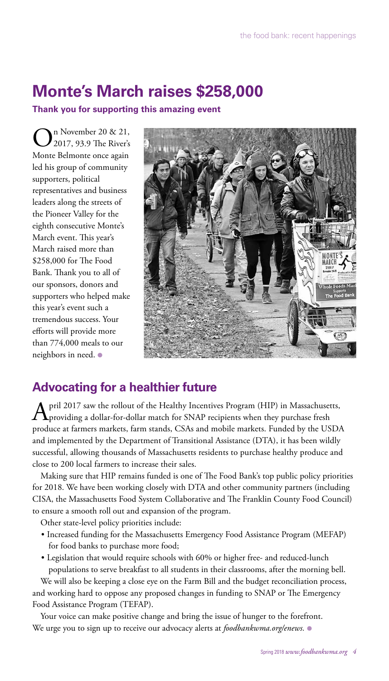# **Monte's March raises \$258,000**

**Thank you for supporting this amazing event**

n November 20 & 21, 2017, 93.9 The River's Monte Belmonte once again led his group of community supporters, political representatives and business leaders along the streets of the Pioneer Valley for the eighth consecutive Monte's March event. This year's March raised more than \$258,000 for The Food Bank. Thank you to all of our sponsors, donors and supporters who helped make this year's event such a tremendous success. Your efforts will provide more than 774,000 meals to our neighbors in need. ●



## **Advocating for a healthier future**

April 2017 saw the rollout of the Healthy Incentives Program (HIP) in Massachusetts,<br>providing a dollar-for-dollar match for SNAP recipients when they purchase fresh produce at farmers markets, farm stands, CSAs and mobile markets. Funded by the USDA and implemented by the Department of Transitional Assistance (DTA), it has been wildly successful, allowing thousands of Massachusetts residents to purchase healthy produce and close to 200 local farmers to increase their sales.

Making sure that HIP remains funded is one of The Food Bank's top public policy priorities for 2018. We have been working closely with DTA and other community partners (including CISA, the Massachusetts Food System Collaborative and The Franklin County Food Council) to ensure a smooth roll out and expansion of the program.

Other state-level policy priorities include:

- Increased funding for the Massachusetts Emergency Food Assistance Program (MEFAP) for food banks to purchase more food;
- Legislation that would require schools with 60% or higher free- and reduced-lunch populations to serve breakfast to all students in their classrooms, after the morning bell.

We will also be keeping a close eye on the Farm Bill and the budget reconciliation process, and working hard to oppose any proposed changes in funding to SNAP or The Emergency Food Assistance Program (TEFAP).

Your voice can make positive change and bring the issue of hunger to the forefront. We urge you to sign up to receive our advocacy alerts at *foodbankwma.org/enews.* ●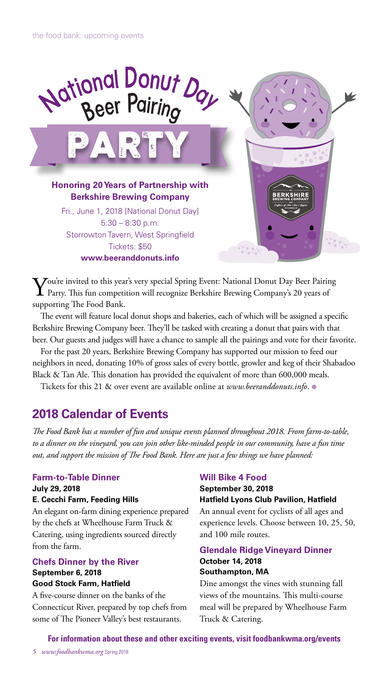

You're invited to this year's very special Spring Event: National Donut Day Beer Pairing<br>Party. This fun competition will recognize Berkshire Brewing Company's 20 years of supporting The Food Bank.

The event will feature local donut shops and bakeries, each of which will be assigned a specific Berkshire Brewing Company beer. They'll be tasked with creating a donut that pairs with that beer. Our guests and judges will have a chance to sample all the pairings and vote for their favorite.

For the past 20 years, Berkshire Brewing Company has supported our mission to feed our neighbors in need, donating 10% of gross sales of every bottle, growler and keg of their Shabadoo Black & Tan Ale. This donation has provided the equivalent of more than 600,000 meals.

Tickets for this 21 & over event are available online at *www.beeranddonuts.info*. ●

### **2018 Calendar of Events**

*The Food Bank has a number of fun and unique events planned throughout 2018. From farm-to-table, to a dinner on the vineyard, you can join other like-minded people in our community, have a fun time out, and support the mission of The Food Bank. Here are just a few things we have planned:*

### **Farm-to-Table Dinner**

### **July 29, 2018 E. Cecchi Farm, Feeding Hills**

An elegant on-farm dining experience prepared by the chefs at Wheelhouse Farm Truck & Catering, using ingredients sourced directly from the farm.

### **Chefs Dinner by the River September 6, 2018 Good Stock Farm, Hatfield**

A five-course dinner on the banks of the Connecticut River, prepared by top chefs from some of The Pioneer Valley's best restaurants.

### **Will Bike 4 Food**

### **September 30, 2018 Hatfield Lyons Club Pavilion, Hatfield**

An annual event for cyclists of all ages and experience levels. Choose between 10, 25, 50, and 100 mile routes.

### **Glendale Ridge Vineyard Dinner**

### **October 14, 2018 Southampton, MA**

Dine amongst the vines with stunning fall views of the mountains. This multi-course meal will be prepared by Wheelhouse Farm Truck & Catering.

**For information about these and other exciting events, visit foodbankwma.org/events**